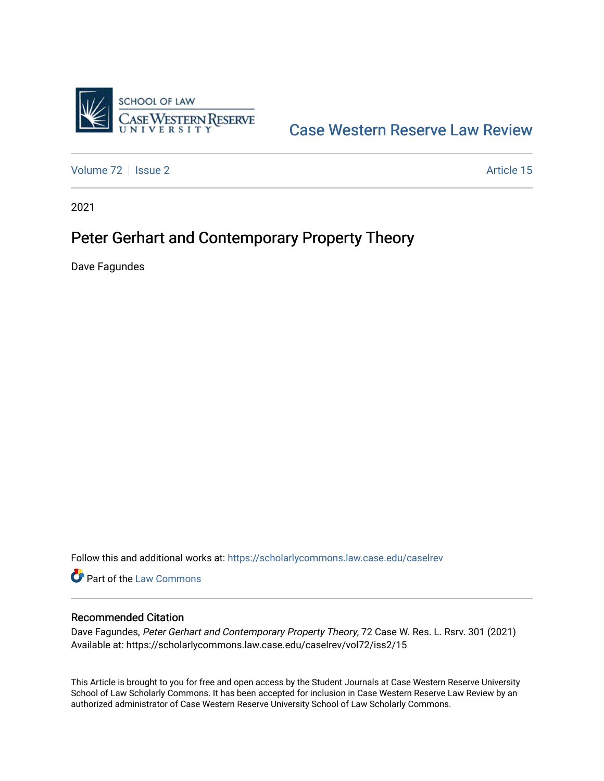

## [Case Western Reserve Law Review](https://scholarlycommons.law.case.edu/caselrev)

[Volume 72](https://scholarlycommons.law.case.edu/caselrev/vol72) | [Issue 2](https://scholarlycommons.law.case.edu/caselrev/vol72/iss2) Article 15

2021

## Peter Gerhart and Contemporary Property Theory

Dave Fagundes

Follow this and additional works at: [https://scholarlycommons.law.case.edu/caselrev](https://scholarlycommons.law.case.edu/caselrev?utm_source=scholarlycommons.law.case.edu%2Fcaselrev%2Fvol72%2Fiss2%2F15&utm_medium=PDF&utm_campaign=PDFCoverPages)

**Part of the [Law Commons](https://network.bepress.com/hgg/discipline/578?utm_source=scholarlycommons.law.case.edu%2Fcaselrev%2Fvol72%2Fiss2%2F15&utm_medium=PDF&utm_campaign=PDFCoverPages)** 

## Recommended Citation

Dave Fagundes, Peter Gerhart and Contemporary Property Theory, 72 Case W. Res. L. Rsrv. 301 (2021) Available at: https://scholarlycommons.law.case.edu/caselrev/vol72/iss2/15

This Article is brought to you for free and open access by the Student Journals at Case Western Reserve University School of Law Scholarly Commons. It has been accepted for inclusion in Case Western Reserve Law Review by an authorized administrator of Case Western Reserve University School of Law Scholarly Commons.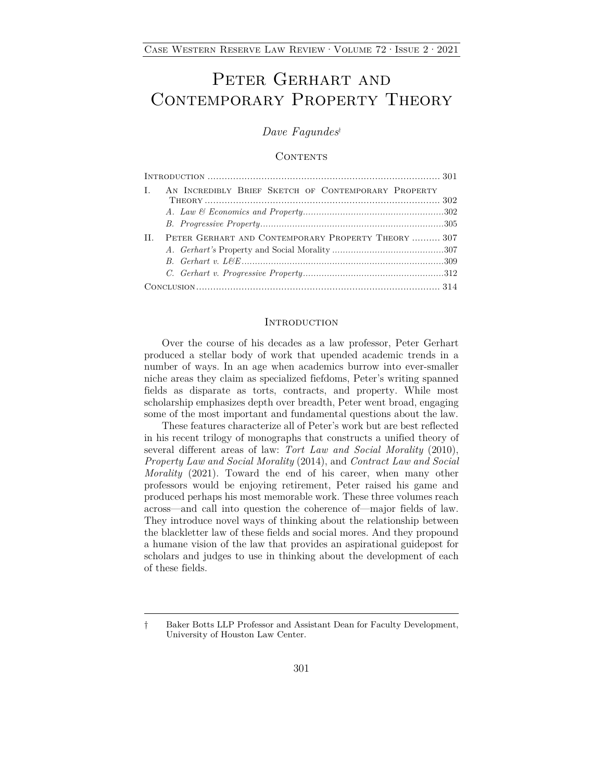# PETER GERHART AND Contemporary Property Theory

*Dave Fagundes*†

#### CONTENTS

| Ι. | AN INCREDIBLY BRIEF SKETCH OF CONTEMPORARY PROPERTY |  |
|----|-----------------------------------------------------|--|
|    |                                                     |  |
|    |                                                     |  |
| H. | PETER GERHART AND CONTEMPORARY PROPERTY THEORY  307 |  |
|    |                                                     |  |
|    |                                                     |  |
|    |                                                     |  |
|    |                                                     |  |

#### **INTRODUCTION**

Over the course of his decades as a law professor, Peter Gerhart produced a stellar body of work that upended academic trends in a number of ways. In an age when academics burrow into ever-smaller niche areas they claim as specialized fiefdoms, Peter's writing spanned fields as disparate as torts, contracts, and property. While most scholarship emphasizes depth over breadth, Peter went broad, engaging some of the most important and fundamental questions about the law.

These features characterize all of Peter's work but are best reflected in his recent trilogy of monographs that constructs a unified theory of several different areas of law: *Tort Law and Social Morality* (2010), *Property Law and Social Morality* (2014), and *Contract Law and Social Morality* (2021). Toward the end of his career, when many other professors would be enjoying retirement, Peter raised his game and produced perhaps his most memorable work. These three volumes reach across—and call into question the coherence of—major fields of law. They introduce novel ways of thinking about the relationship between the blackletter law of these fields and social mores. And they propound a humane vision of the law that provides an aspirational guidepost for scholars and judges to use in thinking about the development of each of these fields.

<sup>†</sup> Baker Botts LLP Professor and Assistant Dean for Faculty Development, University of Houston Law Center.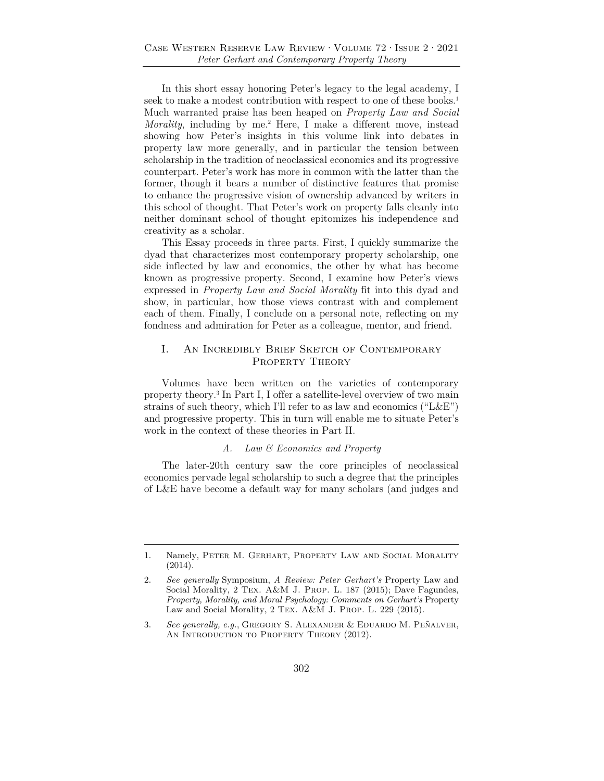In this short essay honoring Peter's legacy to the legal academy, I seek to make a modest contribution with respect to one of these books.<sup>1</sup> Much warranted praise has been heaped on *Property Law and Social Morality*, including by me.<sup>2</sup> Here, I make a different move, instead showing how Peter's insights in this volume link into debates in property law more generally, and in particular the tension between scholarship in the tradition of neoclassical economics and its progressive counterpart. Peter's work has more in common with the latter than the former, though it bears a number of distinctive features that promise to enhance the progressive vision of ownership advanced by writers in this school of thought. That Peter's work on property falls cleanly into neither dominant school of thought epitomizes his independence and creativity as a scholar.

This Essay proceeds in three parts. First, I quickly summarize the dyad that characterizes most contemporary property scholarship, one side inflected by law and economics, the other by what has become known as progressive property. Second, I examine how Peter's views expressed in *Property Law and Social Morality* fit into this dyad and show, in particular, how those views contrast with and complement each of them. Finally, I conclude on a personal note, reflecting on my fondness and admiration for Peter as a colleague, mentor, and friend.

### I. An Incredibly Brief Sketch of Contemporary PROPERTY THEORY

Volumes have been written on the varieties of contemporary property theory.3 In Part I, I offer a satellite-level overview of two main strains of such theory, which I'll refer to as law and economics ("L&E") and progressive property. This in turn will enable me to situate Peter's work in the context of these theories in Part II.

#### *A. Law & Economics and Property*

The later-20th century saw the core principles of neoclassical economics pervade legal scholarship to such a degree that the principles of L&E have become a default way for many scholars (and judges and

<sup>1.</sup> Namely, Peter M. Gerhart, Property Law and Social Morality (2014).

<sup>2.</sup> *See generally* Symposium, *A Review: Peter Gerhart's* Property Law and Social Morality, 2 Tex. A&M J. Prop. L. 187 (2015); Dave Fagundes, *Property, Morality, and Moral Psychology: Comments on Gerhart's* Property Law and Social Morality, 2 TEX. A&M J. PROP. L. 229 (2015).

<sup>3.</sup> *See generally, e.g.*, GREGORY S. ALEXANDER & EDUARDO M. PEÑALVER, AN INTRODUCTION TO PROPERTY THEORY (2012).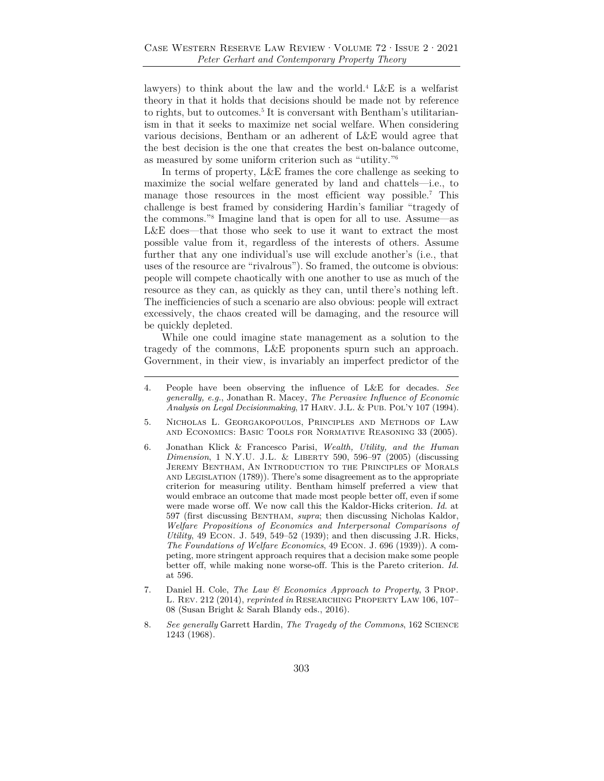lawyers) to think about the law and the world.4 L&E is a welfarist theory in that it holds that decisions should be made not by reference to rights, but to outcomes.<sup>5</sup> It is conversant with Bentham's utilitarianism in that it seeks to maximize net social welfare. When considering various decisions, Bentham or an adherent of L&E would agree that the best decision is the one that creates the best on-balance outcome, as measured by some uniform criterion such as "utility."6

In terms of property, L&E frames the core challenge as seeking to maximize the social welfare generated by land and chattels—i.e., to manage those resources in the most efficient way possible.<sup>7</sup> This challenge is best framed by considering Hardin's familiar "tragedy of the commons."8 Imagine land that is open for all to use. Assume—as L&E does—that those who seek to use it want to extract the most possible value from it, regardless of the interests of others. Assume further that any one individual's use will exclude another's (i.e., that uses of the resource are "rivalrous"). So framed, the outcome is obvious: people will compete chaotically with one another to use as much of the resource as they can, as quickly as they can, until there's nothing left. The inefficiencies of such a scenario are also obvious: people will extract excessively, the chaos created will be damaging, and the resource will be quickly depleted.

While one could imagine state management as a solution to the tragedy of the commons, L&E proponents spurn such an approach. Government, in their view, is invariably an imperfect predictor of the

<sup>4.</sup> People have been observing the influence of L&E for decades. *See generally, e.g.*, Jonathan R. Macey, *The Pervasive Influence of Economic Analysis on Legal Decisionmaking*, 17 Harv. J.L. & Pub. Pol'y 107 (1994).

<sup>5.</sup> Nicholas L. Georgakopoulos, Principles and Methods of Law and Economics: Basic Tools for Normative Reasoning 33 (2005).

<sup>6.</sup> Jonathan Klick & Francesco Parisi, *Wealth, Utility, and the Human Dimension*, 1 N.Y.U. J.L. & Liberty 590, 596–97 (2005) (discussing Jeremy Bentham, An Introduction to the Principles of Morals and Legislation (1789)). There's some disagreement as to the appropriate criterion for measuring utility. Bentham himself preferred a view that would embrace an outcome that made most people better off, even if some were made worse off. We now call this the Kaldor-Hicks criterion. *Id.* at 597 (first discussing Bentham, *supra*; then discussing Nicholas Kaldor, *Welfare Propositions of Economics and Interpersonal Comparisons of Utility*, 49 Econ. J. 549, 549–52 (1939); and then discussing J.R. Hicks, *The Foundations of Welfare Economics*, 49 Econ. J. 696 (1939)). A competing, more stringent approach requires that a decision make some people better off, while making none worse-off. This is the Pareto criterion. *Id.* at 596.

<sup>7.</sup> Daniel H. Cole, *The Law & Economics Approach to Property*, 3 Prop. L. Rev. 212 (2014), *reprinted in* Researching Property Law 106, 107– 08 (Susan Bright & Sarah Blandy eds., 2016).

<sup>8.</sup> *See generally* Garrett Hardin, *The Tragedy of the Commons*, 162 Science 1243 (1968).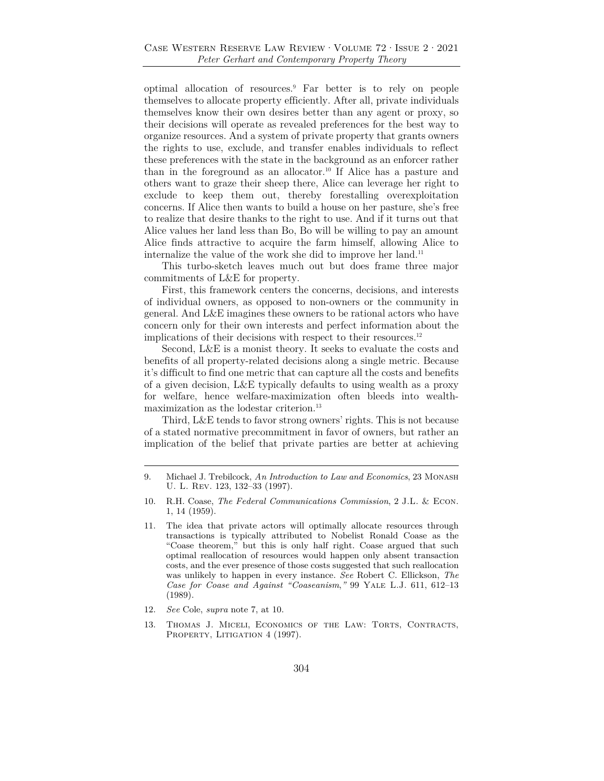optimal allocation of resources.9 Far better is to rely on people themselves to allocate property efficiently. After all, private individuals themselves know their own desires better than any agent or proxy, so their decisions will operate as revealed preferences for the best way to organize resources. And a system of private property that grants owners the rights to use, exclude, and transfer enables individuals to reflect these preferences with the state in the background as an enforcer rather than in the foreground as an allocator.10 If Alice has a pasture and others want to graze their sheep there, Alice can leverage her right to exclude to keep them out, thereby forestalling overexploitation concerns. If Alice then wants to build a house on her pasture, she's free to realize that desire thanks to the right to use. And if it turns out that Alice values her land less than Bo, Bo will be willing to pay an amount Alice finds attractive to acquire the farm himself, allowing Alice to internalize the value of the work she did to improve her land.<sup>11</sup>

This turbo-sketch leaves much out but does frame three major commitments of L&E for property.

First, this framework centers the concerns, decisions, and interests of individual owners, as opposed to non-owners or the community in general. And L&E imagines these owners to be rational actors who have concern only for their own interests and perfect information about the implications of their decisions with respect to their resources.<sup>12</sup>

Second, L&E is a monist theory. It seeks to evaluate the costs and benefits of all property-related decisions along a single metric. Because it's difficult to find one metric that can capture all the costs and benefits of a given decision, L&E typically defaults to using wealth as a proxy for welfare, hence welfare-maximization often bleeds into wealthmaximization as the lodestar criterion.<sup>13</sup>

Third, L&E tends to favor strong owners' rights. This is not because of a stated normative precommitment in favor of owners, but rather an implication of the belief that private parties are better at achieving

- 12. *See* Cole, *supra* note 7, at 10.
- 13. THOMAS J. MICELI, ECONOMICS OF THE LAW: TORTS, CONTRACTS, PROPERTY, LITIGATION 4 (1997).

<sup>9.</sup> Michael J. Trebilcock, *An Introduction to Law and Economics*, 23 Monash U. L. Rev. 123, 132–33 (1997).

<sup>10.</sup> R.H. Coase, *The Federal Communications Commission*, 2 J.L. & Econ. 1, 14 (1959).

<sup>11.</sup> The idea that private actors will optimally allocate resources through transactions is typically attributed to Nobelist Ronald Coase as the "Coase theorem," but this is only half right. Coase argued that such optimal reallocation of resources would happen only absent transaction costs, and the ever presence of those costs suggested that such reallocation was unlikely to happen in every instance. *See* Robert C. Ellickson, *The Case for Coase and Against "Coaseanism*,*"* 99 Yale L.J. 611, 612–13 (1989).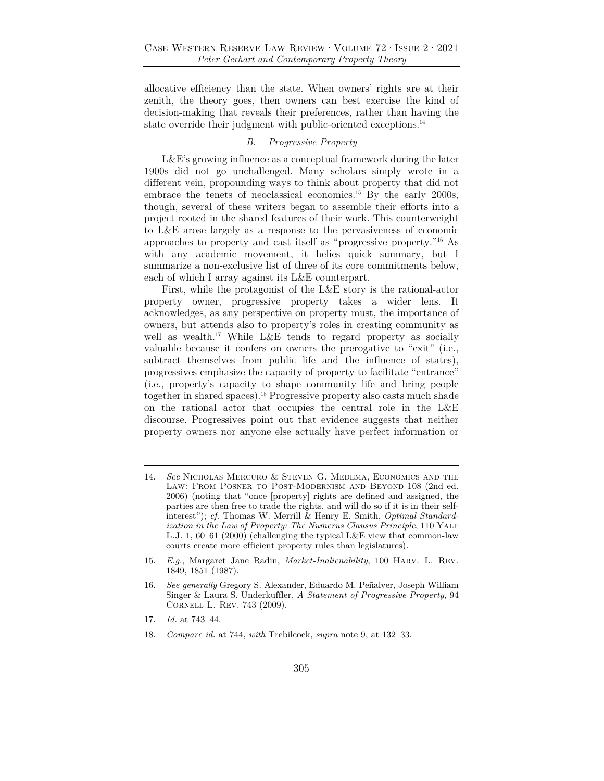allocative efficiency than the state. When owners' rights are at their zenith, the theory goes, then owners can best exercise the kind of decision-making that reveals their preferences, rather than having the state override their judgment with public-oriented exceptions.<sup>14</sup>

#### *B. Progressive Property*

L&E's growing influence as a conceptual framework during the later 1900s did not go unchallenged. Many scholars simply wrote in a different vein, propounding ways to think about property that did not embrace the tenets of neoclassical economics.15 By the early 2000s, though, several of these writers began to assemble their efforts into a project rooted in the shared features of their work. This counterweight to L&E arose largely as a response to the pervasiveness of economic approaches to property and cast itself as "progressive property."16 As with any academic movement, it belies quick summary, but I summarize a non-exclusive list of three of its core commitments below, each of which I array against its L&E counterpart.

First, while the protagonist of the L&E story is the rational-actor property owner, progressive property takes a wider lens. It acknowledges, as any perspective on property must, the importance of owners, but attends also to property's roles in creating community as well as wealth.<sup>17</sup> While L&E tends to regard property as socially valuable because it confers on owners the prerogative to "exit" (i.e., subtract themselves from public life and the influence of states), progressives emphasize the capacity of property to facilitate "entrance" (i.e., property's capacity to shape community life and bring people together in shared spaces).18 Progressive property also casts much shade on the rational actor that occupies the central role in the L&E discourse. Progressives point out that evidence suggests that neither property owners nor anyone else actually have perfect information or

18. *Compare id.* at 744, *with* Trebilcock, *supra* note 9, at 132–33.

<sup>14.</sup> *See* Nicholas Mercuro & Steven G. Medema, Economics and the Law: From Posner to Post-Modernism and Beyond 108 (2nd ed. 2006) (noting that "once [property] rights are defined and assigned, the parties are then free to trade the rights, and will do so if it is in their selfinterest"); *cf.* Thomas W. Merrill & Henry E. Smith, *Optimal Standardization in the Law of Property: The Numerus Clausus Principle*, 110 Yale L.J. 1, 60–61 (2000) (challenging the typical L&E view that common-law courts create more efficient property rules than legislatures).

<sup>15.</sup> *E.g.*, Margaret Jane Radin, *Market-Inalienability*, 100 Harv. L. Rev. 1849, 1851 (1987).

<sup>16.</sup> *See generally* Gregory S. Alexander, Eduardo M. Peñalver, Joseph William Singer & Laura S. Underkuffler, *A Statement of Progressive Property*, 94 Cornell L. Rev. 743 (2009).

<sup>17.</sup> *Id.* at 743–44.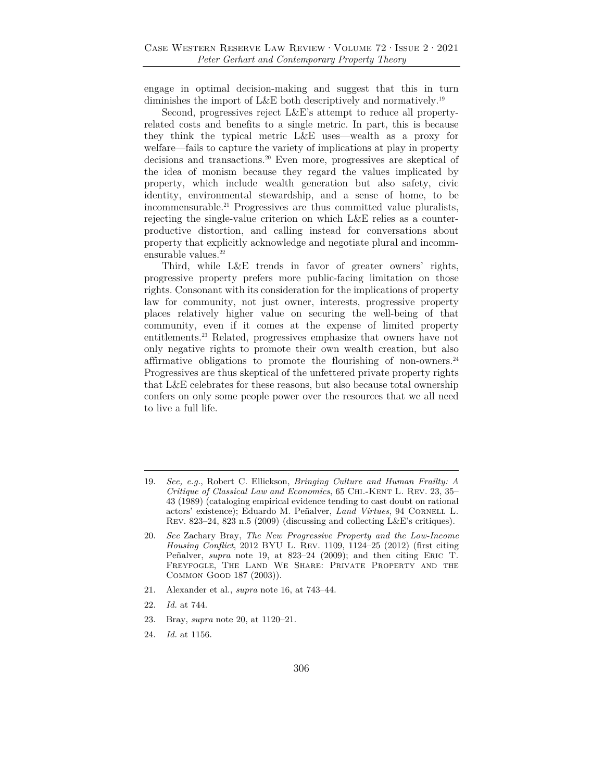engage in optimal decision-making and suggest that this in turn diminishes the import of L&E both descriptively and normatively.19

Second, progressives reject L&E's attempt to reduce all propertyrelated costs and benefits to a single metric. In part, this is because they think the typical metric L&E uses—wealth as a proxy for welfare—fails to capture the variety of implications at play in property decisions and transactions.20 Even more, progressives are skeptical of the idea of monism because they regard the values implicated by property, which include wealth generation but also safety, civic identity, environmental stewardship, and a sense of home, to be incommensurable.21 Progressives are thus committed value pluralists, rejecting the single-value criterion on which L&E relies as a counterproductive distortion, and calling instead for conversations about property that explicitly acknowledge and negotiate plural and incommensurable values.<sup>22</sup>

Third, while L&E trends in favor of greater owners' rights, progressive property prefers more public-facing limitation on those rights. Consonant with its consideration for the implications of property law for community, not just owner, interests, progressive property places relatively higher value on securing the well-being of that community, even if it comes at the expense of limited property entitlements.23 Related, progressives emphasize that owners have not only negative rights to promote their own wealth creation, but also affirmative obligations to promote the flourishing of non-owners.24 Progressives are thus skeptical of the unfettered private property rights that L&E celebrates for these reasons, but also because total ownership confers on only some people power over the resources that we all need to live a full life.

- 21. Alexander et al., *supra* note 16, at 743–44.
- 22. *Id.* at 744.
- 23. Bray, *supra* note 20, at 1120–21.
- 24. *Id.* at 1156.

<sup>19.</sup> *See, e.g.*, Robert C. Ellickson, *Bringing Culture and Human Frailty: A Critique of Classical Law and Economics*, 65 Chi.-Kent L. Rev. 23, 35– 43 (1989) (cataloging empirical evidence tending to cast doubt on rational actors' existence); Eduardo M. Peñalver, *Land Virtues*, 94 Cornell L. Rev. 823–24, 823 n.5 (2009) (discussing and collecting L&E's critiques).

<sup>20.</sup> *See* Zachary Bray, *The New Progressive Property and the Low-Income Housing Conflict*, 2012 BYU L. Rev. 1109, 1124–25 (2012) (first citing Peñalver, *supra* note 19, at 823-24 (2009); and then citing ERIC T. Freyfogle, The Land We Share: Private Property and the Common Good 187 (2003)).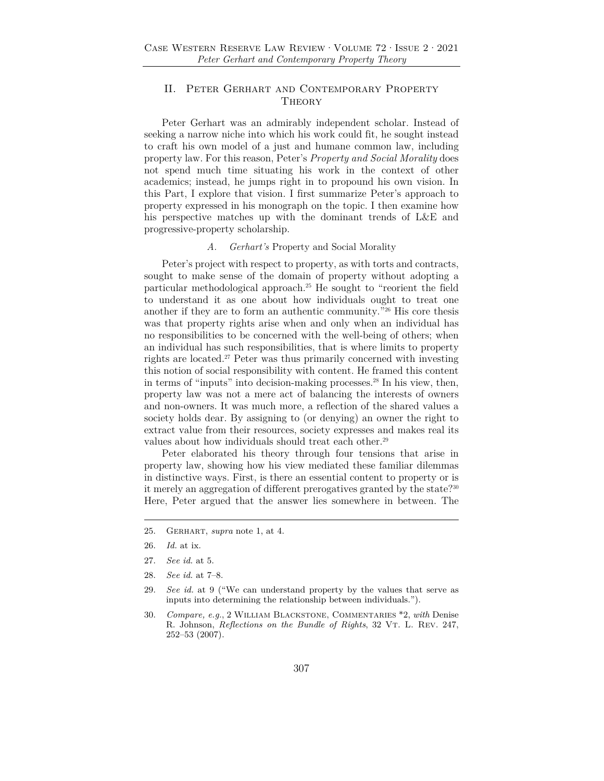## II. Peter Gerhart and Contemporary Property **THEORY**

Peter Gerhart was an admirably independent scholar. Instead of seeking a narrow niche into which his work could fit, he sought instead to craft his own model of a just and humane common law, including property law. For this reason, Peter's *Property and Social Morality* does not spend much time situating his work in the context of other academics; instead, he jumps right in to propound his own vision. In this Part, I explore that vision. I first summarize Peter's approach to property expressed in his monograph on the topic. I then examine how his perspective matches up with the dominant trends of L&E and progressive-property scholarship.

#### *A. Gerhart's* Property and Social Morality

Peter's project with respect to property, as with torts and contracts, sought to make sense of the domain of property without adopting a particular methodological approach.25 He sought to "reorient the field to understand it as one about how individuals ought to treat one another if they are to form an authentic community."26 His core thesis was that property rights arise when and only when an individual has no responsibilities to be concerned with the well-being of others; when an individual has such responsibilities, that is where limits to property rights are located.27 Peter was thus primarily concerned with investing this notion of social responsibility with content. He framed this content in terms of "inputs" into decision-making processes.<sup>28</sup> In his view, then, property law was not a mere act of balancing the interests of owners and non-owners. It was much more, a reflection of the shared values a society holds dear. By assigning to (or denying) an owner the right to extract value from their resources, society expresses and makes real its values about how individuals should treat each other.<sup>29</sup>

Peter elaborated his theory through four tensions that arise in property law, showing how his view mediated these familiar dilemmas in distinctive ways. First, is there an essential content to property or is it merely an aggregation of different prerogatives granted by the state?30 Here, Peter argued that the answer lies somewhere in between. The

- 27. *See id.* at 5.
- 28. *See id.* at 7–8.
- 29. *See id.* at 9 ("We can understand property by the values that serve as inputs into determining the relationship between individuals.").
- 30. *Compare, e.g.*, 2 William Blackstone, Commentaries \*2, *with* Denise R. Johnson, *Reflections on the Bundle of Rights*, 32 VT. L. Rev. 247, 252–53 (2007).

<sup>25.</sup> Gerhart, *supra* note 1, at 4.

<sup>26.</sup> *Id.* at ix.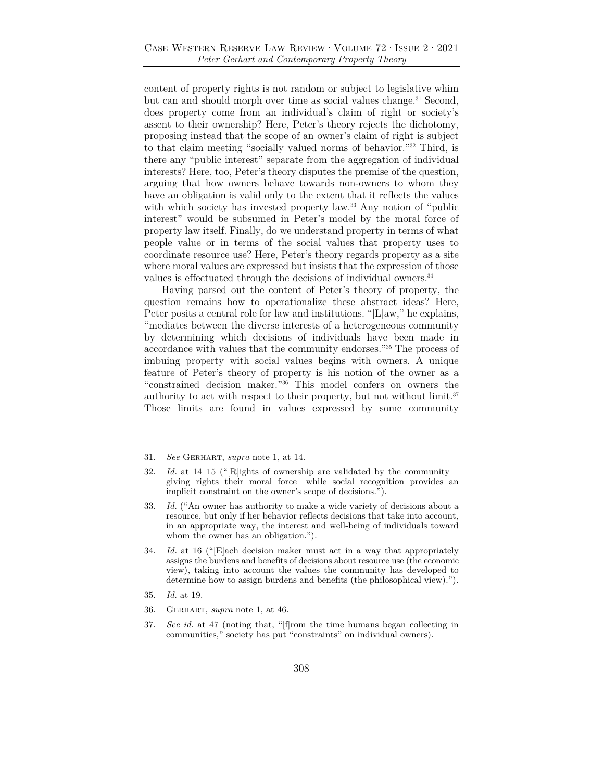content of property rights is not random or subject to legislative whim but can and should morph over time as social values change.<sup>31</sup> Second, does property come from an individual's claim of right or society's assent to their ownership? Here, Peter's theory rejects the dichotomy, proposing instead that the scope of an owner's claim of right is subject to that claim meeting "socially valued norms of behavior."32 Third, is there any "public interest" separate from the aggregation of individual interests? Here, too, Peter's theory disputes the premise of the question, arguing that how owners behave towards non-owners to whom they have an obligation is valid only to the extent that it reflects the values with which society has invested property law.<sup>33</sup> Any notion of "public interest" would be subsumed in Peter's model by the moral force of property law itself. Finally, do we understand property in terms of what people value or in terms of the social values that property uses to coordinate resource use? Here, Peter's theory regards property as a site where moral values are expressed but insists that the expression of those values is effectuated through the decisions of individual owners.<sup>34</sup>

Having parsed out the content of Peter's theory of property, the question remains how to operationalize these abstract ideas? Here, Peter posits a central role for law and institutions. "[L]aw," he explains, "mediates between the diverse interests of a heterogeneous community by determining which decisions of individuals have been made in accordance with values that the community endorses."35 The process of imbuing property with social values begins with owners. A unique feature of Peter's theory of property is his notion of the owner as a "constrained decision maker."36 This model confers on owners the authority to act with respect to their property, but not without limit.37 Those limits are found in values expressed by some community

- 31. *See* Gerhart, *supra* note 1, at 14.
- 32. *Id.* at 14–15 ("[R]ights of ownership are validated by the community giving rights their moral force—while social recognition provides an implicit constraint on the owner's scope of decisions.").
- 33. *Id.* ("An owner has authority to make a wide variety of decisions about a resource, but only if her behavior reflects decisions that take into account, in an appropriate way, the interest and well-being of individuals toward whom the owner has an obligation.").
- 34. *Id.* at 16 ("[E]ach decision maker must act in a way that appropriately assigns the burdens and benefits of decisions about resource use (the economic view), taking into account the values the community has developed to determine how to assign burdens and benefits (the philosophical view).").
- 35. *Id.* at 19.
- 36. Gerhart, *supra* note 1, at 46.
- 37. *See id.* at 47 (noting that, "[f]rom the time humans began collecting in communities," society has put "constraints" on individual owners).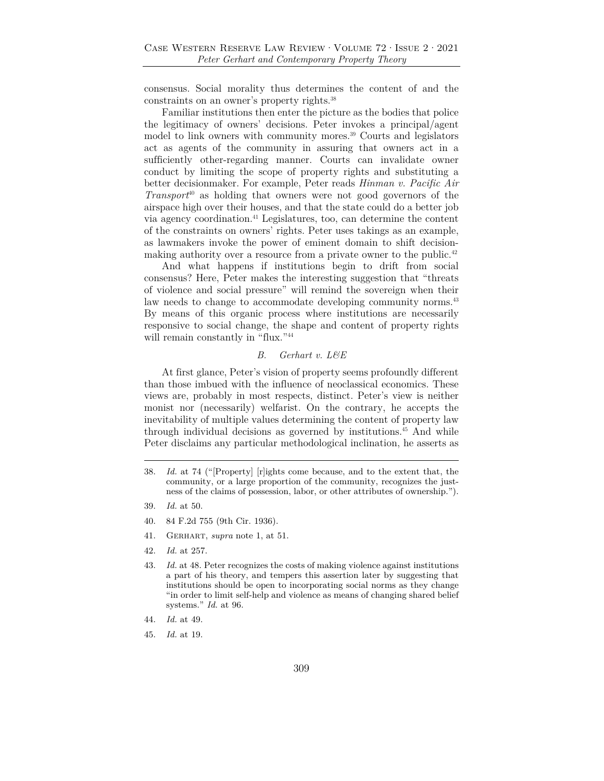consensus. Social morality thus determines the content of and the constraints on an owner's property rights.38

Familiar institutions then enter the picture as the bodies that police the legitimacy of owners' decisions. Peter invokes a principal/agent model to link owners with community mores.<sup>39</sup> Courts and legislators act as agents of the community in assuring that owners act in a sufficiently other-regarding manner. Courts can invalidate owner conduct by limiting the scope of property rights and substituting a better decisionmaker. For example, Peter reads *Hinman v. Pacific Air Transport*40 as holding that owners were not good governors of the airspace high over their houses, and that the state could do a better job via agency coordination.41 Legislatures, too, can determine the content of the constraints on owners' rights. Peter uses takings as an example, as lawmakers invoke the power of eminent domain to shift decisionmaking authority over a resource from a private owner to the public.<sup>42</sup>

And what happens if institutions begin to drift from social consensus? Here, Peter makes the interesting suggestion that "threats of violence and social pressure" will remind the sovereign when their law needs to change to accommodate developing community norms.<sup>43</sup> By means of this organic process where institutions are necessarily responsive to social change, the shape and content of property rights will remain constantly in "flux."<sup>44</sup>

#### *B. Gerhart v. L&E*

At first glance, Peter's vision of property seems profoundly different than those imbued with the influence of neoclassical economics. These views are, probably in most respects, distinct. Peter's view is neither monist nor (necessarily) welfarist. On the contrary, he accepts the inevitability of multiple values determining the content of property law through individual decisions as governed by institutions.45 And while Peter disclaims any particular methodological inclination, he asserts as

- 40. 84 F.2d 755 (9th Cir. 1936).
- 41. Gerhart, *supra* note 1, at 51.
- 42. *Id.* at 257.
- 43. *Id.* at 48. Peter recognizes the costs of making violence against institutions a part of his theory, and tempers this assertion later by suggesting that institutions should be open to incorporating social norms as they change "in order to limit self-help and violence as means of changing shared belief systems." *Id.* at 96.
- 44. *Id.* at 49.
- 45. *Id.* at 19.

<sup>38.</sup> *Id.* at 74 ("[Property] [r]ights come because, and to the extent that, the community, or a large proportion of the community, recognizes the justness of the claims of possession, labor, or other attributes of ownership.").

<sup>39.</sup> *Id.* at 50.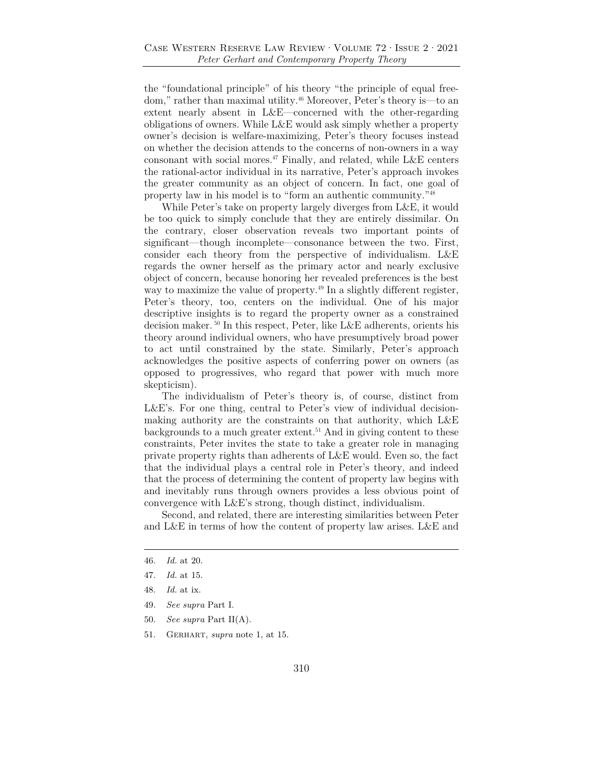the "foundational principle" of his theory "the principle of equal freedom," rather than maximal utility.46 Moreover, Peter's theory is—to an extent nearly absent in L&E—concerned with the other-regarding obligations of owners. While L&E would ask simply whether a property owner's decision is welfare-maximizing, Peter's theory focuses instead on whether the decision attends to the concerns of non-owners in a way consonant with social mores.<sup>47</sup> Finally, and related, while  $L&E$  centers the rational-actor individual in its narrative, Peter's approach invokes the greater community as an object of concern. In fact, one goal of property law in his model is to "form an authentic community."48

While Peter's take on property largely diverges from L&E, it would be too quick to simply conclude that they are entirely dissimilar. On the contrary, closer observation reveals two important points of significant—though incomplete—consonance between the two. First, consider each theory from the perspective of individualism. L&E regards the owner herself as the primary actor and nearly exclusive object of concern, because honoring her revealed preferences is the best way to maximize the value of property.<sup>49</sup> In a slightly different register, Peter's theory, too, centers on the individual. One of his major descriptive insights is to regard the property owner as a constrained decision maker. 50 In this respect, Peter, like L&E adherents, orients his theory around individual owners, who have presumptively broad power to act until constrained by the state. Similarly, Peter's approach acknowledges the positive aspects of conferring power on owners (as opposed to progressives, who regard that power with much more skepticism).

The individualism of Peter's theory is, of course, distinct from L&E's. For one thing, central to Peter's view of individual decisionmaking authority are the constraints on that authority, which L&E backgrounds to a much greater extent.<sup>51</sup> And in giving content to these constraints, Peter invites the state to take a greater role in managing private property rights than adherents of L&E would. Even so, the fact that the individual plays a central role in Peter's theory, and indeed that the process of determining the content of property law begins with and inevitably runs through owners provides a less obvious point of convergence with L&E's strong, though distinct, individualism.

Second, and related, there are interesting similarities between Peter and L&E in terms of how the content of property law arises. L&E and

- 48. *Id.* at ix.
- 49. *See supra* Part I.
- 50. *See supra* Part II(A).
- 51. Gerhart, *supra* note 1, at 15.

<sup>46.</sup> *Id.* at 20.

<sup>47.</sup> *Id.* at 15.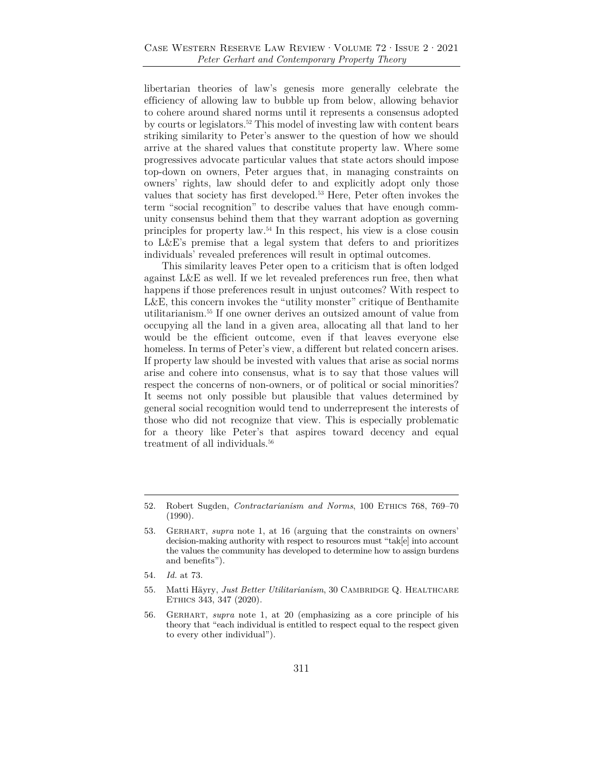libertarian theories of law's genesis more generally celebrate the efficiency of allowing law to bubble up from below, allowing behavior to cohere around shared norms until it represents a consensus adopted by courts or legislators.<sup>52</sup> This model of investing law with content bears striking similarity to Peter's answer to the question of how we should arrive at the shared values that constitute property law. Where some progressives advocate particular values that state actors should impose top-down on owners, Peter argues that, in managing constraints on owners' rights, law should defer to and explicitly adopt only those values that society has first developed.53 Here, Peter often invokes the term "social recognition" to describe values that have enough community consensus behind them that they warrant adoption as governing principles for property law.54 In this respect, his view is a close cousin to L&E's premise that a legal system that defers to and prioritizes individuals' revealed preferences will result in optimal outcomes.

This similarity leaves Peter open to a criticism that is often lodged against L&E as well. If we let revealed preferences run free, then what happens if those preferences result in unjust outcomes? With respect to L&E, this concern invokes the "utility monster" critique of Benthamite utilitarianism.55 If one owner derives an outsized amount of value from occupying all the land in a given area, allocating all that land to her would be the efficient outcome, even if that leaves everyone else homeless. In terms of Peter's view, a different but related concern arises. If property law should be invested with values that arise as social norms arise and cohere into consensus, what is to say that those values will respect the concerns of non-owners, or of political or social minorities? It seems not only possible but plausible that values determined by general social recognition would tend to underrepresent the interests of those who did not recognize that view. This is especially problematic for a theory like Peter's that aspires toward decency and equal treatment of all individuals.<sup>56</sup>

<sup>52.</sup> Robert Sugden, *Contractarianism and Norms*, 100 Ethics 768, 769–70 (1990).

<sup>53.</sup> Gerhart, *supra* note 1, at 16 (arguing that the constraints on owners' decision-making authority with respect to resources must "tak[e] into account the values the community has developed to determine how to assign burdens and benefits").

<sup>54.</sup> *Id.* at 73.

<sup>55.</sup> Matti Häyry, *Just Better Utilitarianism*, 30 CAMBRIDGE Q. HEALTHCARE Ethics 343, 347 (2020).

<sup>56.</sup> Gerhart, *supra* note 1, at 20 (emphasizing as a core principle of his theory that "each individual is entitled to respect equal to the respect given to every other individual").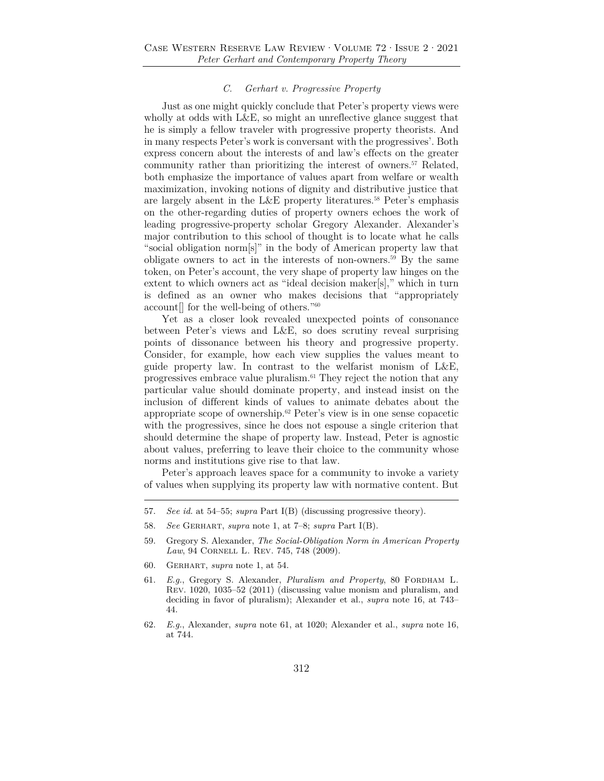#### *C. Gerhart v. Progressive Property*

Just as one might quickly conclude that Peter's property views were wholly at odds with L&E, so might an unreflective glance suggest that he is simply a fellow traveler with progressive property theorists. And in many respects Peter's work is conversant with the progressives'. Both express concern about the interests of and law's effects on the greater community rather than prioritizing the interest of owners.<sup>57</sup> Related, both emphasize the importance of values apart from welfare or wealth maximization, invoking notions of dignity and distributive justice that are largely absent in the L&E property literatures.<sup>58</sup> Peter's emphasis on the other-regarding duties of property owners echoes the work of leading progressive-property scholar Gregory Alexander. Alexander's major contribution to this school of thought is to locate what he calls "social obligation norm[s]" in the body of American property law that obligate owners to act in the interests of non-owners.<sup>59</sup> By the same token, on Peter's account, the very shape of property law hinges on the extent to which owners act as "ideal decision maker[s]," which in turn is defined as an owner who makes decisions that "appropriately account[] for the well-being of others."60

Yet as a closer look revealed unexpected points of consonance between Peter's views and L&E, so does scrutiny reveal surprising points of dissonance between his theory and progressive property. Consider, for example, how each view supplies the values meant to guide property law. In contrast to the welfarist monism of L&E, progressives embrace value pluralism.61 They reject the notion that any particular value should dominate property, and instead insist on the inclusion of different kinds of values to animate debates about the appropriate scope of ownership. $62$  Peter's view is in one sense copacetic with the progressives, since he does not espouse a single criterion that should determine the shape of property law. Instead, Peter is agnostic about values, preferring to leave their choice to the community whose norms and institutions give rise to that law.

Peter's approach leaves space for a community to invoke a variety of values when supplying its property law with normative content. But

- 60. Gerhart, *supra* note 1, at 54.
- 61. *E.g.*, Gregory S. Alexander, *Pluralism and Property*, 80 Fordham L. Rev. 1020, 1035–52 (2011) (discussing value monism and pluralism, and deciding in favor of pluralism); Alexander et al., *supra* note 16, at 743– 44.
- 62. *E.g.*, Alexander, *supra* note 61, at 1020; Alexander et al., *supra* note 16, at 744.

<sup>57.</sup> *See id.* at 54–55; *supra* Part I(B) (discussing progressive theory).

<sup>58.</sup> *See* Gerhart, *supra* note 1, at 7–8; *supra* Part I(B).

<sup>59.</sup> Gregory S. Alexander, *The Social-Obligation Norm in American Property Law*, 94 CORNELL L. REV. 745, 748 (2009).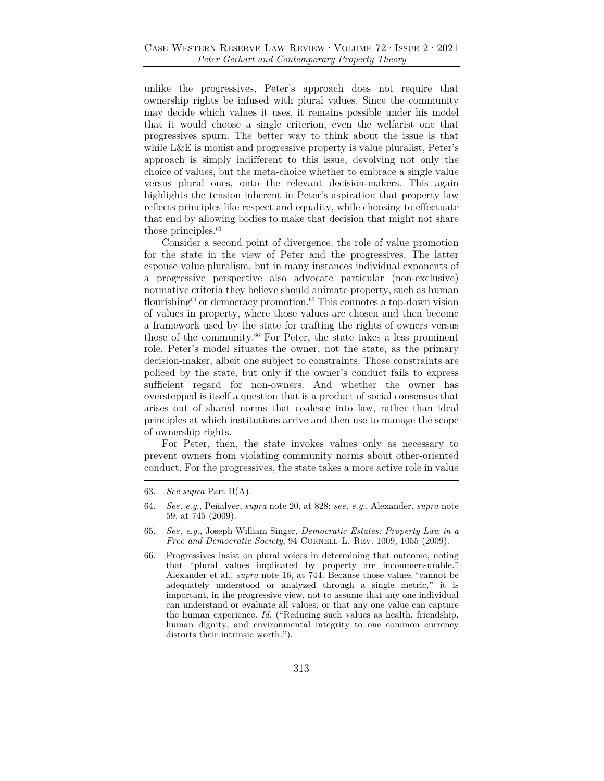unlike the progressives, Peter's approach does not require that ownership rights be infused with plural values. Since the community may decide which values it uses, it remains possible under his model that it would choose a single criterion, even the welfarist one that progressives spurn. The better way to think about the issue is that while L&E is monist and progressive property is value pluralist, Peter's approach is simply indifferent to this issue, devolving not only the choice of values, but the meta-choice whether to embrace a single value versus plural ones, onto the relevant decision-makers. This again highlights the tension inherent in Peter's aspiration that property law reflects principles like respect and equality, while choosing to effectuate that end by allowing bodies to make that decision that might not share those principles.<sup>63</sup>

Consider a second point of divergence: the role of value promotion for the state in the view of Peter and the progressives. The latter espouse value pluralism, but in many instances individual exponents of a progressive perspective also advocate particular (non-exclusive) normative criteria they believe should animate property, such as human flourishing<sup>64</sup> or democracy promotion.<sup>65</sup> This connotes a top-down vision of values in property, where those values are chosen and then become a framework used by the state for crafting the rights of owners versus those of the community.66 For Peter, the state takes a less prominent role. Peter's model situates the owner, not the state, as the primary decision-maker, albeit one subject to constraints. Those constraints are policed by the state, but only if the owner's conduct fails to express sufficient regard for non-owners. And whether the owner has overstepped is itself a question that is a product of social consensus that arises out of shared norms that coalesce into law, rather than ideal principles at which institutions arrive and then use to manage the scope of ownership rights.

For Peter, then, the state invokes values only as necessary to prevent owners from violating community norms about other-oriented conduct. For the progressives, the state takes a more active role in value

<sup>63.</sup> *See supra* Part II(A).

<sup>64.</sup> *See, e.g.*, Peñalver, *supra* note 20, at 828; *see, e.g.*, Alexander, *supra* note 59, at 745 (2009).

<sup>65.</sup> *See, e.g.*, Joseph William Singer, *Democratic Estates: Property Law in a Free and Democratic Society*, 94 CORNELL L. REV. 1009, 1055 (2009).

<sup>66.</sup> Progressives insist on plural voices in determining that outcome, noting that "plural values implicated by property are incommensurable." Alexander et al., *supra* note 16, at 744. Because those values "cannot be adequately understood or analyzed through a single metric," it is important, in the progressive view, not to assume that any one individual can understand or evaluate all values, or that any one value can capture the human experience. *Id.* ("Reducing such values as health, friendship, human dignity, and environmental integrity to one common currency distorts their intrinsic worth.").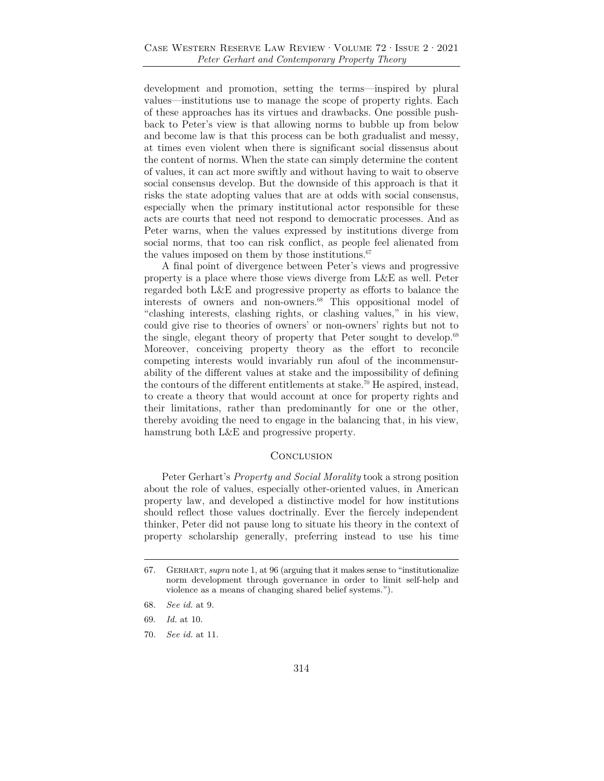development and promotion, setting the terms—inspired by plural values—institutions use to manage the scope of property rights. Each of these approaches has its virtues and drawbacks. One possible pushback to Peter's view is that allowing norms to bubble up from below and become law is that this process can be both gradualist and messy, at times even violent when there is significant social dissensus about the content of norms. When the state can simply determine the content of values, it can act more swiftly and without having to wait to observe social consensus develop. But the downside of this approach is that it risks the state adopting values that are at odds with social consensus, especially when the primary institutional actor responsible for these acts are courts that need not respond to democratic processes. And as Peter warns, when the values expressed by institutions diverge from social norms, that too can risk conflict, as people feel alienated from the values imposed on them by those institutions. $67$ 

A final point of divergence between Peter's views and progressive property is a place where those views diverge from L&E as well. Peter regarded both L&E and progressive property as efforts to balance the interests of owners and non-owners.68 This oppositional model of "clashing interests, clashing rights, or clashing values," in his view, could give rise to theories of owners' or non-owners' rights but not to the single, elegant theory of property that Peter sought to develop.<sup>69</sup> Moreover, conceiving property theory as the effort to reconcile competing interests would invariably run afoul of the incommensurability of the different values at stake and the impossibility of defining the contours of the different entitlements at stake.70 He aspired, instead, to create a theory that would account at once for property rights and their limitations, rather than predominantly for one or the other, thereby avoiding the need to engage in the balancing that, in his view, hamstrung both L&E and progressive property.

#### **CONCLUSION**

Peter Gerhart's *Property and Social Morality* took a strong position about the role of values, especially other-oriented values, in American property law, and developed a distinctive model for how institutions should reflect those values doctrinally. Ever the fiercely independent thinker, Peter did not pause long to situate his theory in the context of property scholarship generally, preferring instead to use his time

<sup>67.</sup> Gerhart, *supra* note 1, at 96 (arguing that it makes sense to "institutionalize norm development through governance in order to limit self-help and violence as a means of changing shared belief systems.").

<sup>68.</sup> *See id.* at 9.

<sup>69.</sup> *Id.* at 10.

<sup>70.</sup> *See id.* at 11.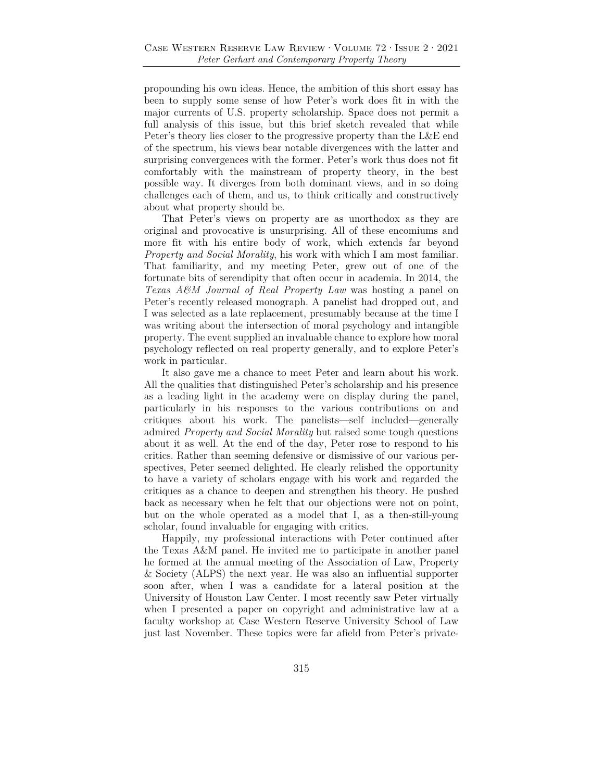propounding his own ideas. Hence, the ambition of this short essay has been to supply some sense of how Peter's work does fit in with the major currents of U.S. property scholarship. Space does not permit a full analysis of this issue, but this brief sketch revealed that while Peter's theory lies closer to the progressive property than the L&E end of the spectrum, his views bear notable divergences with the latter and surprising convergences with the former. Peter's work thus does not fit comfortably with the mainstream of property theory, in the best possible way. It diverges from both dominant views, and in so doing challenges each of them, and us, to think critically and constructively about what property should be.

That Peter's views on property are as unorthodox as they are original and provocative is unsurprising. All of these encomiums and more fit with his entire body of work, which extends far beyond *Property and Social Morality*, his work with which I am most familiar. That familiarity, and my meeting Peter, grew out of one of the fortunate bits of serendipity that often occur in academia. In 2014, the *Texas A&M Journal of Real Property Law* was hosting a panel on Peter's recently released monograph. A panelist had dropped out, and I was selected as a late replacement, presumably because at the time I was writing about the intersection of moral psychology and intangible property. The event supplied an invaluable chance to explore how moral psychology reflected on real property generally, and to explore Peter's work in particular.

It also gave me a chance to meet Peter and learn about his work. All the qualities that distinguished Peter's scholarship and his presence as a leading light in the academy were on display during the panel, particularly in his responses to the various contributions on and critiques about his work. The panelists—self included—generally admired *Property and Social Morality* but raised some tough questions about it as well. At the end of the day, Peter rose to respond to his critics. Rather than seeming defensive or dismissive of our various perspectives, Peter seemed delighted. He clearly relished the opportunity to have a variety of scholars engage with his work and regarded the critiques as a chance to deepen and strengthen his theory. He pushed back as necessary when he felt that our objections were not on point, but on the whole operated as a model that I, as a then-still-young scholar, found invaluable for engaging with critics.

Happily, my professional interactions with Peter continued after the Texas A&M panel. He invited me to participate in another panel he formed at the annual meeting of the Association of Law, Property & Society (ALPS) the next year. He was also an influential supporter soon after, when I was a candidate for a lateral position at the University of Houston Law Center. I most recently saw Peter virtually when I presented a paper on copyright and administrative law at a faculty workshop at Case Western Reserve University School of Law just last November. These topics were far afield from Peter's private